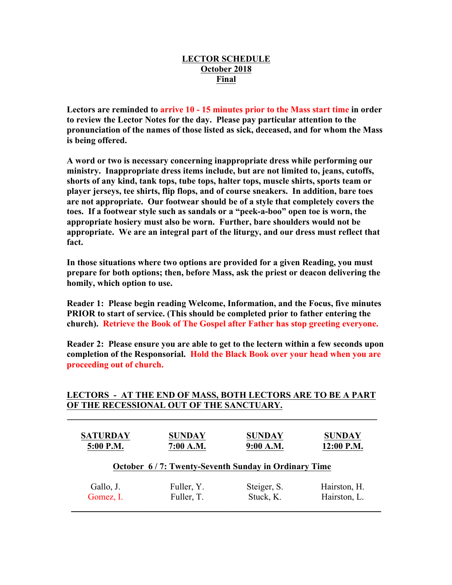## **LECTOR SCHEDULE October 2018 Final**

**Lectors are reminded to arrive 10 - 15 minutes prior to the Mass start time in order to review the Lector Notes for the day. Please pay particular attention to the pronunciation of the names of those listed as sick, deceased, and for whom the Mass is being offered.**

**A word or two is necessary concerning inappropriate dress while performing our ministry. Inappropriate dress items include, but are not limited to, jeans, cutoffs, shorts of any kind, tank tops, tube tops, halter tops, muscle shirts, sports team or player jerseys, tee shirts, flip flops, and of course sneakers. In addition, bare toes are not appropriate. Our footwear should be of a style that completely covers the toes. If a footwear style such as sandals or a "peek-a-boo" open toe is worn, the appropriate hosiery must also be worn. Further, bare shoulders would not be appropriate. We are an integral part of the liturgy, and our dress must reflect that fact.**

**In those situations where two options are provided for a given Reading, you must prepare for both options; then, before Mass, ask the priest or deacon delivering the homily, which option to use.**

**Reader 1: Please begin reading Welcome, Information, and the Focus, five minutes PRIOR to start of service. (This should be completed prior to father entering the church). Retrieve the Book of The Gospel after Father has stop greeting everyone.**

**Reader 2: Please ensure you are able to get to the lectern within a few seconds upon completion of the Responsorial. Hold the Black Book over your head when you are proceeding out of church.** 

## **LECTORS - AT THE END OF MASS, BOTH LECTORS ARE TO BE A PART OF THE RECESSIONAL OUT OF THE SANCTUARY.**

 $\mathcal{L} = \{ \mathcal{L} \mid \mathcal{L} \in \mathcal{L} \}$ 

| <b>SATURDAY</b>                                     | <b>SUNDAY</b> | <b>SUNDAY</b> | <b>SUNDAY</b> |  |  |  |  |
|-----------------------------------------------------|---------------|---------------|---------------|--|--|--|--|
| 5:00 P.M.                                           | 7:00 A.M.     | 9:00 A.M.     | $12:00$ P.M.  |  |  |  |  |
| October 6/7: Twenty-Seventh Sunday in Ordinary Time |               |               |               |  |  |  |  |
| Gallo, J.                                           | Fuller, Y.    | Steiger, S.   | Hairston, H.  |  |  |  |  |
| Gomez, I.                                           | Fuller, T.    | Stuck, K.     | Hairston, L.  |  |  |  |  |